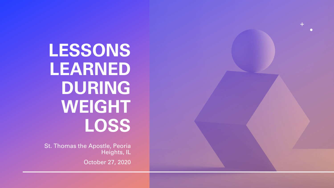**LESSONS LEARNED DURING WEIGHT LOSS**

St. Thomas the Apostle, Peoria Heights, IL

October 27, 2020

 $+$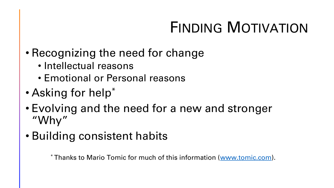# FINDING MOTIVATION

- Recognizing the need for change
	- Intellectual reasons
	- Emotional or Personal reasons
- Asking for help\*
- Evolving and the need for a new and stronger "Why"
- Building consistent habits

\* Thanks to Mario Tomic for much of this information ([www.tomic.com\)](http://www.tomic.com/).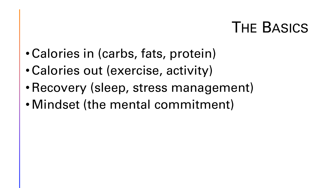### THE BASICS

- •Calories in (carbs, fats, protein)
- •Calories out (exercise, activity)
- •Recovery (sleep, stress management)
- •Mindset (the mental commitment)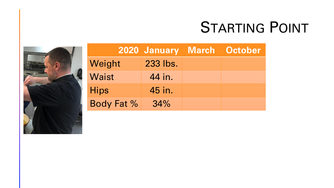### STARTING POINT



|                   | 2020 January March October |  |
|-------------------|----------------------------|--|
| Weight            | 233 lbs.                   |  |
| Waist             | 44 in.                     |  |
| <b>Hips</b>       | 45 in.                     |  |
| <b>Body Fat %</b> | 34%                        |  |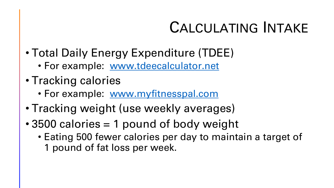## CALCULATING INTAKE

- Total Daily Energy Expenditure (TDEE)
	- For example: [www.tdeecalculator.net](http://www.tdeecalculator.net/)
- Tracking calories
	- For example: [www.myfitnesspal.com](http://www.myfitnesspal.com/)
- Tracking weight (use weekly averages)
- 3500 calories = 1 pound of body weight
	- Eating 500 fewer calories per day to maintain a target of 1 pound of fat loss per week.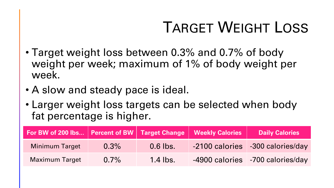# TARGET WEIGHT LOSS

- Target weight loss between 0.3% and 0.7% of body weight per week; maximum of 1% of body weight per week.
- A slow and steady pace is ideal.
- Larger weight loss targets can be selected when body fat percentage is higher.

| For BW of 200 lbs   Percent of BW   Target Change   Weekly Calories |         |            | <b>Daily Calories</b>            |
|---------------------------------------------------------------------|---------|------------|----------------------------------|
| <b>Minimum Target</b>                                               | $0.3\%$ | $0.6$ lbs. | -2100 calories -300 calories/day |
| <b>Maximum Target</b>                                               | $0.7\%$ | $1.4$ lbs. | -4900 calories -700 calories/day |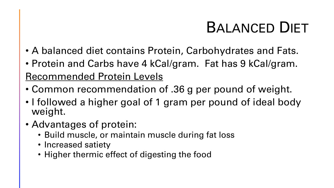## BALANCED DIET

- A balanced diet contains Protein, Carbohydrates and Fats.
- Protein and Carbs have 4 kCal/gram. Fat has 9 kCal/gram. Recommended Protein Levels
- Common recommendation of .36 g per pound of weight.
- I followed a higher goal of 1 gram per pound of ideal body weight.
- Advantages of protein:
	- Build muscle, or maintain muscle during fat loss
	- Increased satiety
	- Higher thermic effect of digesting the food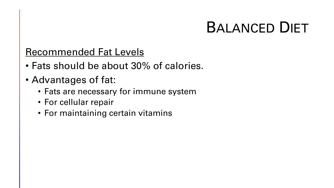### BALANCED DIET

### Recommended Fat Levels

- Fats should be about 30% of calories.
- Advantages of fat:
	- Fats are necessary for immune system
	- For cellular repair
	- For maintaining certain vitamins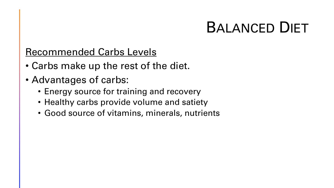### BALANCED DIET

### Recommended Carbs Levels

- Carbs make up the rest of the diet.
- Advantages of carbs:
	- Energy source for training and recovery
	- Healthy carbs provide volume and satiety
	- Good source of vitamins, minerals, nutrients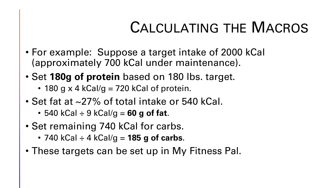### CALCULATING THE MACROS

- For example: Suppose a target intake of 2000 kCal (approximately 700 kCal under maintenance).
- Set **180g of protein** based on 180 lbs. target.
	- 180 g  $\times$  4 kCal/g = 720 kCal of protein.
- Set fat at ~27% of total intake or 540 kCal.
	- 540 kCal ÷ 9 kCal/g = **60 g of fat**.
- Set remaining 740 kCal for carbs.
	- 740 kCal ÷ 4 kCal/g = **185 g of carbs**.
- These targets can be set up in My Fitness Pal.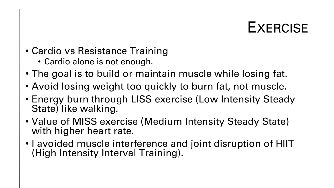### **EXERCISE**

- Cardio vs Resistance Training
	- Cardio alone is not enough.
- The goal is to build or maintain muscle while losing fat.
- Avoid losing weight too quickly to burn fat, not muscle.
- Energy burn through LISS exercise (Low Intensity Steady State) like walking.
- Value of MISS exercise (Medium Intensity Steady State) with higher heart rate.
- I avoided muscle interference and joint disruption of HIIT (High Intensity Interval Training).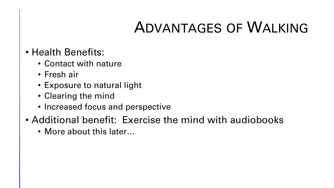### ADVANTAGES OF WALKING

- Health Benefits:
	- Contact with nature
	- Fresh air
	- Exposure to natural light
	- Clearing the mind
	- Increased focus and perspective
- Additional benefit: Exercise the mind with audiobooks
	- More about this later...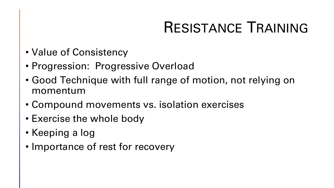## RESISTANCE TRAINING

- Value of Consistency
- Progression: Progressive Overload
- Good Technique with full range of motion, not relying on momentum
- Compound movements vs. isolation exercises
- Exercise the whole body
- Keeping a log
- Importance of rest for recovery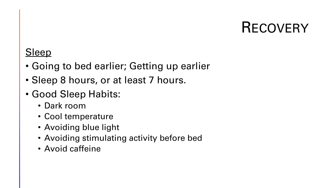### **RECOVERY**

### **Sleep**

- Going to bed earlier; Getting up earlier
- Sleep 8 hours, or at least 7 hours.
- Good Sleep Habits:
	- Dark room
	- Cool temperature
	- Avoiding blue light
	- Avoiding stimulating activity before bed
	- Avoid caffeine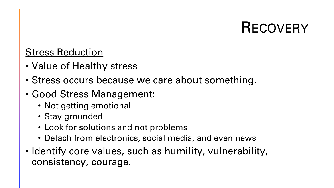### **RECOVERY**

### Stress Reduction

- Value of Healthy stress
- Stress occurs because we care about something.
- Good Stress Management:
	- Not getting emotional
	- Stay grounded
	- Look for solutions and not problems
	- Detach from electronics, social media, and even news
- Identify core values, such as humility, vulnerability, consistency, courage.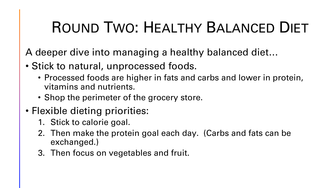# ROUND TWO: HEALTHY BALANCED DIET

A deeper dive into managing a healthy balanced diet…

- Stick to natural, unprocessed foods.
	- Processed foods are higher in fats and carbs and lower in protein, vitamins and nutrients.
	- Shop the perimeter of the grocery store.
- Flexible dieting priorities:
	- 1. Stick to calorie goal.
	- 2. Then make the protein goal each day. (Carbs and fats can be exchanged.)
	- 3. Then focus on vegetables and fruit.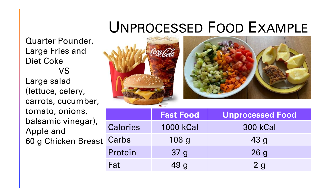### UNPROCESSED FOOD EXAMPLE

Quarter Pounder, Large Fries and Diet Coke VS Large salad (lettuce, celery, carrots, cucumber, tomato, onions, balsamic vinegar), Apple and 60 g Chicken Breast



|                 | <b>Fast Food</b> | <b>Unprocessed Food</b> |
|-----------------|------------------|-------------------------|
| <b>Calories</b> | <b>1000 kCal</b> | <b>300 kCal</b>         |
| Carbs           | 108 <sub>g</sub> | 43 <sub>g</sub>         |
| Protein         | 37 <sub>g</sub>  | 26g                     |
| Fat             | 49 <sub>g</sub>  | 2g                      |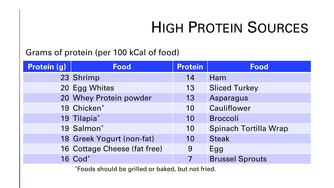## HIGH PROTEIN SOURCES

#### Grams of protein (per 100 kCal of food)

| Protein (g) | <b>Food</b>                  | <b>Protein</b> | <b>Food</b>                  |
|-------------|------------------------------|----------------|------------------------------|
|             | 23 Shrimp                    | 14             | Ham                          |
|             | 20 Egg Whites                | 13             | <b>Sliced Turkey</b>         |
|             | 20 Whey Protein powder       | 13             | Asparagus                    |
|             | 19 Chicken*                  | 10             | Cauliflower                  |
|             | 19 Tilapia*                  | 10             | <b>Broccoli</b>              |
|             | 19 Salmon*                   | 10             | <b>Spinach Tortilla Wrap</b> |
|             | 18 Greek Yogurt (non-fat)    | 10             | <b>Steak</b>                 |
|             | 16 Cottage Cheese (fat free) | 9              | Egg                          |
|             | 16 Cod*                      |                | <b>Brussel Sprouts</b>       |

\*Foods should be grilled or baked, but not fried.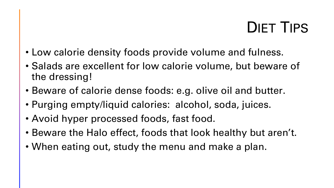### DIET TIPS

- Low calorie density foods provide volume and fulness.
- Salads are excellent for low calorie volume, but beware of the dressing!
- Beware of calorie dense foods: e.g. olive oil and butter.
- Purging empty/liquid calories: alcohol, soda, juices.
- Avoid hyper processed foods, fast food.
- Beware the Halo effect, foods that look healthy but aren't.
- When eating out, study the menu and make a plan.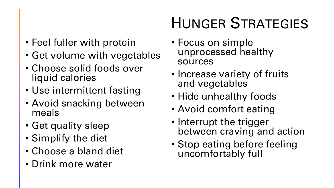### • Feel fuller with protein

- Get volume with vegetables
- Choose solid foods over liquid calories
- Use intermittent fasting
- Avoid snacking between meals
- Get quality sleep
- Simplify the diet
- Choose a bland diet
- Drink more water

# HUNGER STRATEGIES

- Focus on simple unprocessed healthy sources
- Increase variety of fruits and vegetables
- Hide unhealthy foods
- Avoid comfort eating
- Interrupt the trigger between craving and action
- Stop eating before feeling uncomfortably full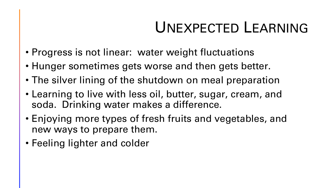### UNEXPECTED LEARNING

- Progress is not linear: water weight fluctuations
- Hunger sometimes gets worse and then gets better.
- The silver lining of the shutdown on meal preparation
- Learning to live with less oil, butter, sugar, cream, and soda. Drinking water makes a difference.
- Enjoying more types of fresh fruits and vegetables, and new ways to prepare them.
- Feeling lighter and colder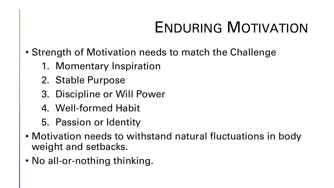# ENDURING MOTIVATION

- Strength of Motivation needs to match the Challenge
	- 1. Momentary Inspiration
	- 2. Stable Purpose
	- 3. Discipline or Will Power
	- 4. Well-formed Habit
	- 5. Passion or Identity
- Motivation needs to withstand natural fluctuations in body weight and setbacks.
- No all-or-nothing thinking.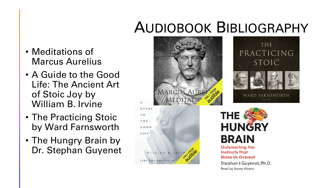- Meditations of Marcus Aurelius
- A Guide to the Good Life: The Ancient Art of Stoic Joy by William B. Irvine

 $\mathbf{A}$ 

- The Practicing Stoic by Ward Farnsworth
- The Hungry Brain by Dr. Stephan Guyenet



Stephan J.Guyenet, Ph.D. Read by Aaron Abano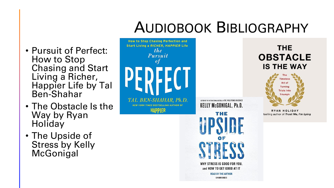- Pursuit of Perfect: How to Stop Chasing and Start Living a Richer, Happier Life by Tal Ben-Shahar
- The Obstacle Is the Way by Ryan **Holiday**
- The Upside of Stress by Kelly McGonigal

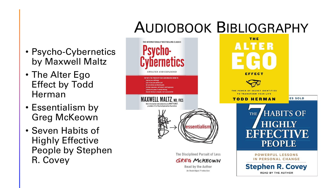- Psycho-Cybernetics by Maxwell Maltz
- The Alter Ego Effect by Todd Herman
- Essentialism by Greg McKeown
- Seven Habits of Highly Effective People by Stephen R. Covey

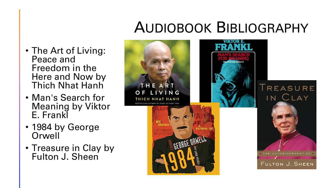- The Art of Living: Peace and Freedom in the Here and Now by Thich Nhat Hanh
- Man's Search for Meaning by Viktor E. Frankl
- 1984 by George **Orwell**
- Treasure in Clay by Fulton J. Sheen

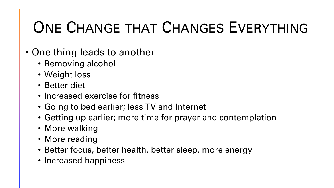# ONE CHANGE THAT CHANGES EVERYTHING

- One thing leads to another
	- Removing alcohol
	- Weight loss
	- Better diet
	- Increased exercise for fitness
	- Going to bed earlier; less TV and Internet
	- Getting up earlier; more time for prayer and contemplation
	- More walking
	- More reading
	- Better focus, better health, better sleep, more energy
	- Increased happiness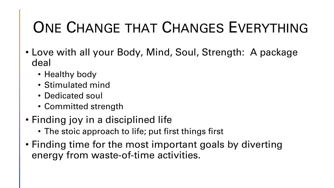# ONE CHANGE THAT CHANGES EVERYTHING

- Love with all your Body, Mind, Soul, Strength: A package deal
	- Healthy body
	- Stimulated mind
	- Dedicated soul
	- Committed strength
- Finding joy in a disciplined life
	- The stoic approach to life; put first things first
- Finding time for the most important goals by diverting energy from waste-of-time activities.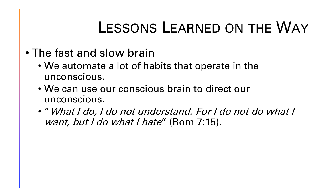### LESSONS LEARNED ON THE WAY

- The fast and slow brain
	- We automate a lot of habits that operate in the unconscious.
	- We can use our conscious brain to direct our unconscious.
	- "What I do, I do not understand. For I do not do what I want, but I do what I hate" (Rom 7:15).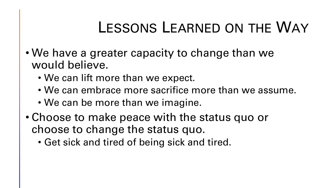### LESSONS LEARNED ON THE WAY

- We have a greater capacity to change than we would believe.
	- We can lift more than we expect.
	- We can embrace more sacrifice more than we assume.
	- We can be more than we imagine.
- Choose to make peace with the status quo or choose to change the status quo.
	- Get sick and tired of being sick and tired.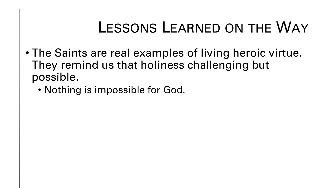### LESSONS LEARNED ON THE WAY

- The Saints are real examples of living heroic virtue. They remind us that holiness challenging but possible.
	- Nothing is impossible for God.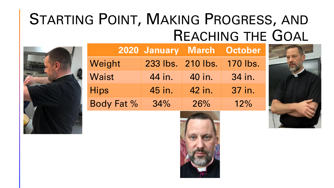### STARTING POINT, MAKING PROGRESS, AND REACHING THE GOAL



|              | <b>2020 January March</b> |          | <b>October</b> |
|--------------|---------------------------|----------|----------------|
| Weight       | 233 lbs.                  | 210 lbs. | 170 lbs.       |
| <b>Waist</b> | 44 in.                    | 40 in.   | 34 in.         |
| <b>Hips</b>  | 45 in.                    | 42 in.   | 37 in.         |
| Body Fat %   | 34%                       | 26%      | 12%            |